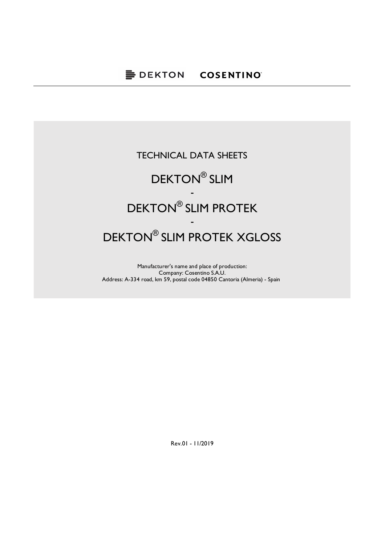## DEKTON® SLIM PROTEK XGLOSS TECHNICAL DATA SHEETS DEKTON® SLIM - DEKTON® SLIM PROTEK -

Manufacturer's name and place of production: Company: Cosentino S.A.U. Address: A-334 road, km 59, postal code 04850 Cantoria (Almeria) - Spain

Rev.01 - 11/2019